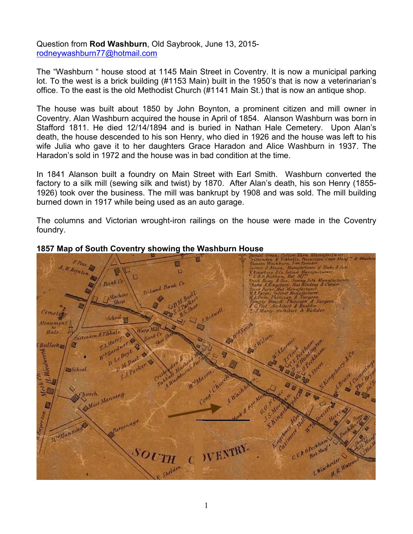Question from **Rod Washburn**, Old Saybrook, June 13, 2015 rodneywashburn77@hotmail.com

The "Washburn " house stood at 1145 Main Street in Coventry. It is now a municipal parking lot. To the west is a brick building (#1153 Main) built in the 1950's that is now a veterinarian's office. To the east is the old Methodist Church (#1141 Main St.) that is now an antique shop.

The house was built about 1850 by John Boynton, a prominent citizen and mill owner in Coventry. Alan Washburn acquired the house in April of 1854. Alanson Washburn was born in Stafford 1811. He died 12/14/1894 and is buried in Nathan Hale Cemetery. Upon Alan's death, the house descended to his son Henry, who died in 1926 and the house was left to his wife Julia who gave it to her daughters Grace Haradon and Alice Washburn in 1937. The Haradon's sold in 1972 and the house was in bad condition at the time.

In 1841 Alanson built a foundry on Main Street with Earl Smith. Washburn converted the factory to a silk mill (sewing silk and twist) by 1870. After Alan's death, his son Henry (1855- 1926) took over the business. The mill was bankrupt by 1908 and was sold. The mill building burned down in 1917 while being used as an auto garage.

The columns and Victorian wrought-iron railings on the house were made in the Coventry foundry.



### **1857 Map of South Coventry showing the Washburn House**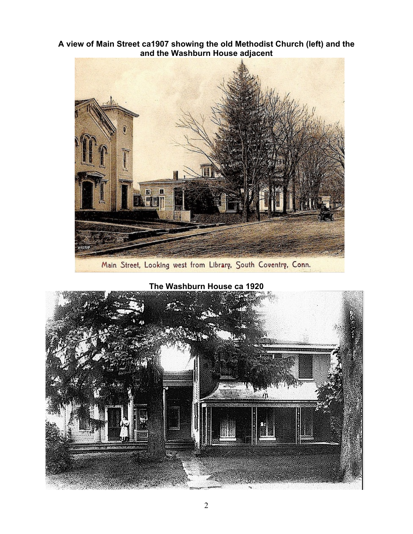**A view of Main Street ca1907 showing the old Methodist Church (left) and the and the Washburn House adjacent**



Main Street, Looking west from Library, South Coventry, Conn.

**The Washburn House ca 1920**